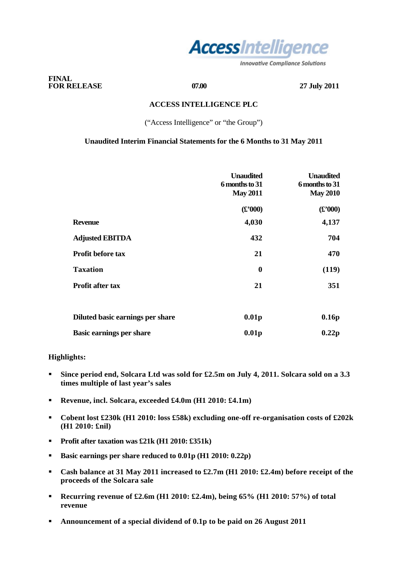

**Innovative Compliance Solutions** 

## **FINAL FOR RELEASE 07.00 27 July 2011**

# **ACCESS INTELLIGENCE PLC**

("Access Intelligence" or "the Group")

# **Unaudited Interim Financial Statements for the 6 Months to 31 May 2011**

|                                  | <b>Unaudited</b><br>6 months to 31<br><b>May 2011</b> | <b>Unaudited</b><br>6 months to 31<br><b>May 2010</b> |
|----------------------------------|-------------------------------------------------------|-------------------------------------------------------|
|                                  | $(\pounds 000)$                                       | $(\pounds 000)$                                       |
| <b>Revenue</b>                   | 4,030                                                 | 4,137                                                 |
| <b>Adjusted EBITDA</b>           | 432                                                   | 704                                                   |
| <b>Profit before tax</b>         | 21                                                    | 470                                                   |
| <b>Taxation</b>                  | $\boldsymbol{0}$                                      | (119)                                                 |
| <b>Profit after tax</b>          | 21                                                    | 351                                                   |
|                                  |                                                       |                                                       |
| Diluted basic earnings per share | 0.01 <sub>p</sub>                                     | 0.16p                                                 |
| <b>Basic earnings per share</b>  | 0.01 <sub>p</sub>                                     | 0.22p                                                 |

## **Highlights:**

- **Since period end, Solcara Ltd was sold for £2.5m on July 4, 2011. Solcara sold on a 3.3 times multiple of last year's sales**
- **Revenue, incl. Solcara, exceeded £4.0m (H1 2010: £4.1m)**
- **Cobent lost £230k (H1 2010: loss £58k) excluding one-off re-organisation costs of £202k (H1 2010: £nil)**
- **Profit after taxation was £21k (H1 2010: £351k)**
- **Basic earnings per share reduced to 0.01p (H1 2010: 0.22p)**
- **Cash balance at 31 May 2011 increased to £2.7m (H1 2010: £2.4m) before receipt of the proceeds of the Solcara sale**
- **Recurring revenue of £2.6m (H1 2010: £2.4m), being 65% (H1 2010: 57%) of total revenue**
- **Announcement of a special dividend of 0.1p to be paid on 26 August 2011**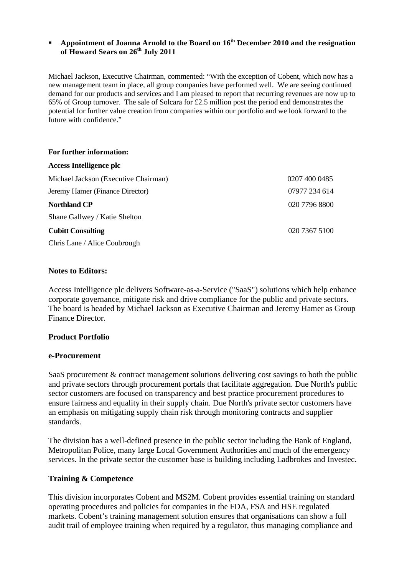# **Appointment of Joanna Arnold to the Board on 16th December 2010 and the resignation of Howard Sears on 26th July 2011**

Michael Jackson, Executive Chairman, commented: "With the exception of Cobent, which now has a new management team in place, all group companies have performed well. We are seeing continued demand for our products and services and I am pleased to report that recurring revenues are now up to 65% of Group turnover. The sale of Solcara for £2.5 million post the period end demonstrates the potential for further value creation from companies within our portfolio and we look forward to the future with confidence."

| For further information:             |               |
|--------------------------------------|---------------|
| Access Intelligence plc              |               |
| Michael Jackson (Executive Chairman) | 0207 400 0485 |
| Jeremy Hamer (Finance Director)      | 07977 234 614 |
| <b>Northland CP</b>                  | 020 7796 8800 |
| Shane Gallwey / Katie Shelton        |               |
| <b>Cubitt Consulting</b>             | 020 7367 5100 |
| Chris Lane / Alice Coubrough         |               |

# **Notes to Editors:**

Access Intelligence plc delivers Software-as-a-Service ("SaaS") solutions which help enhance corporate governance, mitigate risk and drive compliance for the public and private sectors. The board is headed by Michael Jackson as Executive Chairman and Jeremy Hamer as Group Finance Director.

# **Product Portfolio**

# **e-Procurement**

SaaS procurement & contract management solutions delivering cost savings to both the public and private sectors through procurement portals that facilitate aggregation. Due North's public sector customers are focused on transparency and best practice procurement procedures to ensure fairness and equality in their supply chain. Due North's private sector customers have an emphasis on mitigating supply chain risk through monitoring contracts and supplier standards.

The division has a well-defined presence in the public sector including the Bank of England, Metropolitan Police, many large Local Government Authorities and much of the emergency services. In the private sector the customer base is building including Ladbrokes and Investec.

# **Training & Competence**

This division incorporates Cobent and MS2M. Cobent provides essential training on standard operating procedures and policies for companies in the FDA, FSA and HSE regulated markets. Cobent's training management solution ensures that organisations can show a full audit trail of employee training when required by a regulator, thus managing compliance and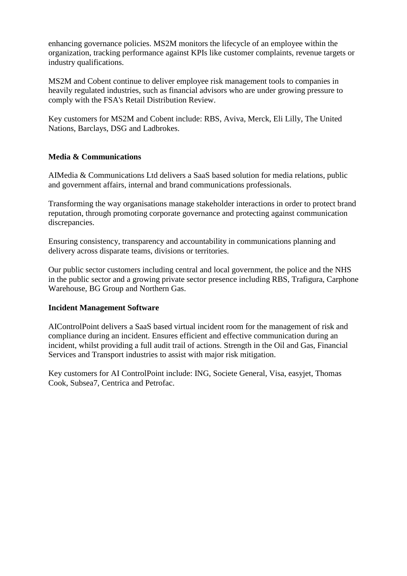enhancing governance policies. MS2M monitors the lifecycle of an employee within the organization, tracking performance against KPIs like customer complaints, revenue targets or industry qualifications.

MS2M and Cobent continue to deliver employee risk management tools to companies in heavily regulated industries, such as financial advisors who are under growing pressure to comply with the FSA's Retail Distribution Review.

Key customers for MS2M and Cobent include: RBS, Aviva, Merck, Eli Lilly, The United Nations, Barclays, DSG and Ladbrokes.

# **Media & Communications**

AIMedia & Communications Ltd delivers a SaaS based solution for media relations, public and government affairs, internal and brand communications professionals.

Transforming the way organisations manage stakeholder interactions in order to protect brand reputation, through promoting corporate governance and protecting against communication discrepancies.

Ensuring consistency, transparency and accountability in communications planning and delivery across disparate teams, divisions or territories.

Our public sector customers including central and local government, the police and the NHS in the public sector and a growing private sector presence including RBS, Trafigura, Carphone Warehouse, BG Group and Northern Gas.

# **Incident Management Software**

AIControlPoint delivers a SaaS based virtual incident room for the management of risk and compliance during an incident. Ensures efficient and effective communication during an incident, whilst providing a full audit trail of actions. Strength in the Oil and Gas, Financial Services and Transport industries to assist with major risk mitigation.

Key customers for AI ControlPoint include: ING, Societe General, Visa, easyjet, Thomas Cook, Subsea7, Centrica and Petrofac.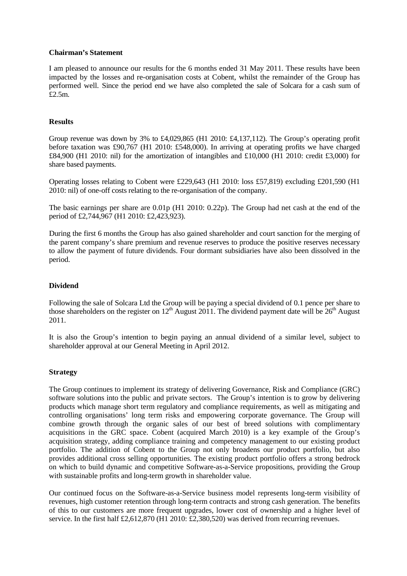#### **Chairman's Statement**

I am pleased to announce our results for the 6 months ended 31 May 2011. These results have been impacted by the losses and re-organisation costs at Cobent, whilst the remainder of the Group has performed well. Since the period end we have also completed the sale of Solcara for a cash sum of £2.5m.

#### **Results**

Group revenue was down by 3% to £4,029,865 (H1 2010: £4,137,112). The Group's operating profit before taxation was £90,767 (H1 2010: £548,000). In arriving at operating profits we have charged £84,900 (H1 2010: nil) for the amortization of intangibles and £10,000 (H1 2010: credit £3,000) for share based payments.

Operating losses relating to Cobent were £229,643 (H1 2010: loss £57,819) excluding £201,590 (H1 2010: nil) of one-off costs relating to the re-organisation of the company.

The basic earnings per share are 0.01p (H1 2010: 0.22p). The Group had net cash at the end of the period of £2,744,967 (H1 2010: £2,423,923).

During the first 6 months the Group has also gained shareholder and court sanction for the merging of the parent company's share premium and revenue reserves to produce the positive reserves necessary to allow the payment of future dividends. Four dormant subsidiaries have also been dissolved in the period.

## **Dividend**

Following the sale of Solcara Ltd the Group will be paying a special dividend of 0.1 pence per share to those shareholders on the register on  $12<sup>th</sup>$  August 2011. The dividend payment date will be  $26<sup>th</sup>$  August 2011.

It is also the Group's intention to begin paying an annual dividend of a similar level, subject to shareholder approval at our General Meeting in April 2012.

### **Strategy**

The Group continues to implement its strategy of delivering Governance, Risk and Compliance (GRC) software solutions into the public and private sectors. The Group's intention is to grow by delivering products which manage short term regulatory and compliance requirements, as well as mitigating and controlling organisations' long term risks and empowering corporate governance. The Group will combine growth through the organic sales of our best of breed solutions with complimentary acquisitions in the GRC space. Cobent (acquired March 2010) is a key example of the Group's acquisition strategy, adding compliance training and competency management to our existing product portfolio. The addition of Cobent to the Group not only broadens our product portfolio, but also provides additional cross selling opportunities. The existing product portfolio offers a strong bedrock on which to build dynamic and competitive Software-as-a-Service propositions, providing the Group with sustainable profits and long-term growth in shareholder value.

Our continued focus on the Software-as-a-Service business model represents long-term visibility of revenues, high customer retention through long-term contracts and strong cash generation. The benefits of this to our customers are more frequent upgrades, lower cost of ownership and a higher level of service. In the first half £2,612,870 (H1 2010: £2,380,520) was derived from recurring revenues.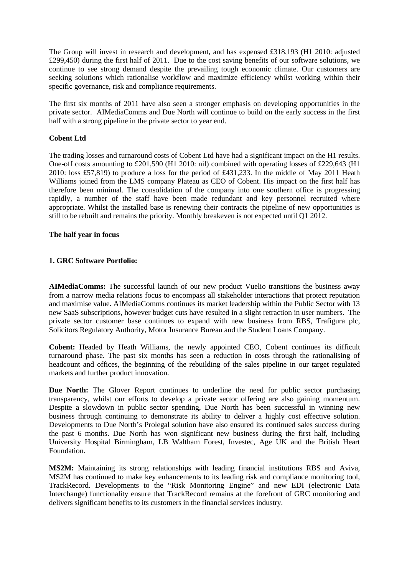The Group will invest in research and development, and has expensed £318,193 (H1 2010: adjusted £299,450) during the first half of 2011. Due to the cost saving benefits of our software solutions, we continue to see strong demand despite the prevailing tough economic climate. Our customers are seeking solutions which rationalise workflow and maximize efficiency whilst working within their specific governance, risk and compliance requirements.

The first six months of 2011 have also seen a stronger emphasis on developing opportunities in the private sector. AIMediaComms and Due North will continue to build on the early success in the first half with a strong pipeline in the private sector to year end.

# **Cobent Ltd**

The trading losses and turnaround costs of Cobent Ltd have had a significant impact on the H1 results. One-off costs amounting to £201,590 (H1 2010: nil) combined with operating losses of £229,643 (H1 2010: loss £57,819) to produce a loss for the period of £431,233. In the middle of May 2011 Heath Williams joined from the LMS company Plateau as CEO of Cobent. His impact on the first half has therefore been minimal. The consolidation of the company into one southern office is progressing rapidly, a number of the staff have been made redundant and key personnel recruited where appropriate. Whilst the installed base is renewing their contracts the pipeline of new opportunities is still to be rebuilt and remains the priority. Monthly breakeven is not expected until Q1 2012.

### **The half year in focus**

### **1. GRC Software Portfolio:**

**AIMediaComms:** The successful launch of our new product Vuelio transitions the business away from a narrow media relations focus to encompass all stakeholder interactions that protect reputation and maximise value. AIMediaComms continues its market leadership within the Public Sector with 13 new SaaS subscriptions, however budget cuts have resulted in a slight retraction in user numbers. The private sector customer base continues to expand with new business from RBS, Trafigura plc, Solicitors Regulatory Authority, Motor Insurance Bureau and the Student Loans Company.

**Cobent:** Headed by Heath Williams, the newly appointed CEO, Cobent continues its difficult turnaround phase. The past six months has seen a reduction in costs through the rationalising of headcount and offices, the beginning of the rebuilding of the sales pipeline in our target regulated markets and further product innovation.

Due North: The Glover Report continues to underline the need for public sector purchasing transparency, whilst our efforts to develop a private sector offering are also gaining momentum. Despite a slowdown in public sector spending, Due North has been successful in winning new business through continuing to demonstrate its ability to deliver a highly cost effective solution. Developments to Due North's Prolegal solution have also ensured its continued sales success during the past 6 months. Due North has won significant new business during the first half, including University Hospital Birmingham, LB Waltham Forest, Investec, Age UK and the British Heart Foundation.

**MS2M:** Maintaining its strong relationships with leading financial institutions RBS and Aviva, MS2M has continued to make key enhancements to its leading risk and compliance monitoring tool, TrackRecord. Developments to the "Risk Monitoring Engine" and new EDI (electronic Data Interchange) functionality ensure that TrackRecord remains at the forefront of GRC monitoring and delivers significant benefits to its customers in the financial services industry.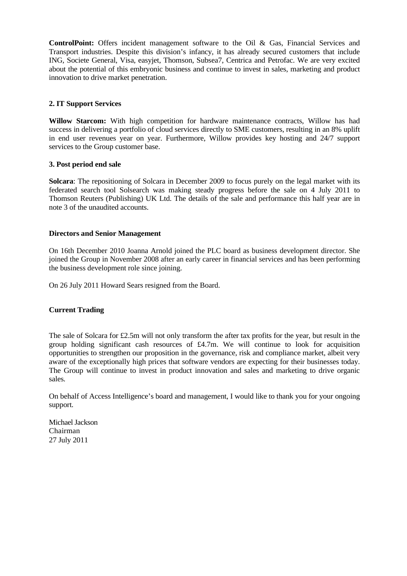**ControlPoint:** Offers incident management software to the Oil & Gas, Financial Services and Transport industries. Despite this division's infancy, it has already secured customers that include ING, Societe General, Visa, easyjet, Thomson, Subsea7, Centrica and Petrofac. We are very excited about the potential of this embryonic business and continue to invest in sales, marketing and product innovation to drive market penetration.

# **2. IT Support Services**

**Willow Starcom:** With high competition for hardware maintenance contracts, Willow has had success in delivering a portfolio of cloud services directly to SME customers, resulting in an 8% uplift in end user revenues year on year. Furthermore, Willow provides key hosting and 24/7 support services to the Group customer base.

### **3. Post period end sale**

**Solcara**: The repositioning of Solcara in December 2009 to focus purely on the legal market with its federated search tool Solsearch was making steady progress before the sale on 4 July 2011 to Thomson Reuters (Publishing) UK Ltd. The details of the sale and performance this half year are in note 3 of the unaudited accounts.

# **Directors and Senior Management**

On 16th December 2010 Joanna Arnold joined the PLC board as business development director. She joined the Group in November 2008 after an early career in financial services and has been performing the business development role since joining.

On 26 July 2011 Howard Sears resigned from the Board.

# **Current Trading**

The sale of Solcara for £2.5m will not only transform the after tax profits for the year, but result in the group holding significant cash resources of £4.7m. We will continue to look for acquisition opportunities to strengthen our proposition in the governance, risk and compliance market, albeit very aware of the exceptionally high prices that software vendors are expecting for their businesses today. The Group will continue to invest in product innovation and sales and marketing to drive organic sales.

On behalf of Access Intelligence's board and management, I would like to thank you for your ongoing support.

Michael Jackson Chairman 27 July 2011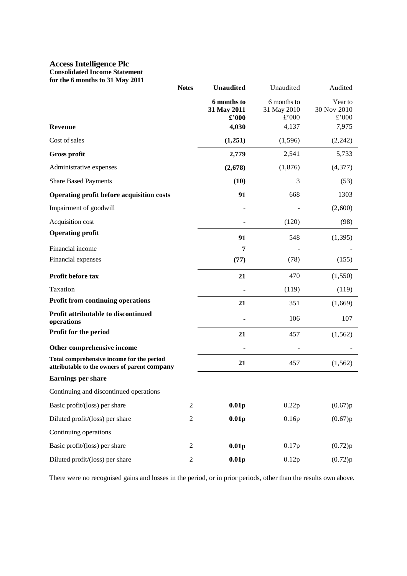### **Access Intelligence Plc Consolidated Income Statement for the 6 months to 31 May 2011**

|                                                                                           | <b>Notes</b>     |                                     | Unaudited                           | Audited                         |
|-------------------------------------------------------------------------------------------|------------------|-------------------------------------|-------------------------------------|---------------------------------|
|                                                                                           |                  | 6 months to<br>31 May 2011<br>£'000 | 6 months to<br>31 May 2010<br>£'000 | Year to<br>30 Nov 2010<br>£'000 |
| Revenue                                                                                   |                  | 4,030                               | 4,137                               | 7,975                           |
| Cost of sales                                                                             |                  | (1,251)                             | (1,596)                             | (2,242)                         |
| <b>Gross profit</b>                                                                       |                  | 2,779                               | 2,541                               | 5,733                           |
| Administrative expenses                                                                   |                  | (2,678)                             | (1,876)                             | (4, 377)                        |
| <b>Share Based Payments</b>                                                               |                  | (10)                                | 3                                   | (53)                            |
| Operating profit before acquisition costs                                                 |                  | 91                                  | 668                                 | 1303                            |
| Impairment of goodwill                                                                    |                  |                                     |                                     | (2,600)                         |
| Acquisition cost                                                                          |                  |                                     | (120)                               | (98)                            |
| <b>Operating profit</b>                                                                   |                  | 91                                  | 548                                 | (1, 395)                        |
| Financial income                                                                          |                  | 7                                   |                                     |                                 |
| Financial expenses                                                                        |                  | (77)                                | (78)                                | (155)                           |
| Profit before tax                                                                         |                  | 21                                  | 470                                 | (1,550)                         |
| Taxation                                                                                  |                  |                                     | (119)                               | (119)                           |
| <b>Profit from continuing operations</b>                                                  |                  | 21                                  | 351                                 | (1,669)                         |
| Profit attributable to discontinued<br>operations                                         |                  |                                     | 106                                 | 107                             |
| Profit for the period                                                                     |                  | 21                                  | 457                                 | (1, 562)                        |
| Other comprehensive income                                                                |                  |                                     |                                     |                                 |
| Total comprehensive income for the period<br>attributable to the owners of parent company |                  | 21                                  | 457                                 | (1, 562)                        |
| <b>Earnings per share</b>                                                                 |                  |                                     |                                     |                                 |
| Continuing and discontinued operations                                                    |                  |                                     |                                     |                                 |
| Basic profit/(loss) per share                                                             | $\mathfrak{2}$   | 0.01 <sub>p</sub>                   | 0.22p                               | (0.67)p                         |
| Diluted profit/(loss) per share                                                           | $\mathbf{2}$     | 0.01 <sub>p</sub>                   | 0.16p                               | (0.67)p                         |
| Continuing operations                                                                     |                  |                                     |                                     |                                 |
| Basic profit/(loss) per share                                                             | $\sqrt{2}$       | 0.01 <sub>p</sub>                   | 0.17p                               | (0.72)p                         |
| Diluted profit/(loss) per share                                                           | $\boldsymbol{2}$ | 0.01p                               | 0.12p                               | (0.72)p                         |

There were no recognised gains and losses in the period, or in prior periods, other than the results own above.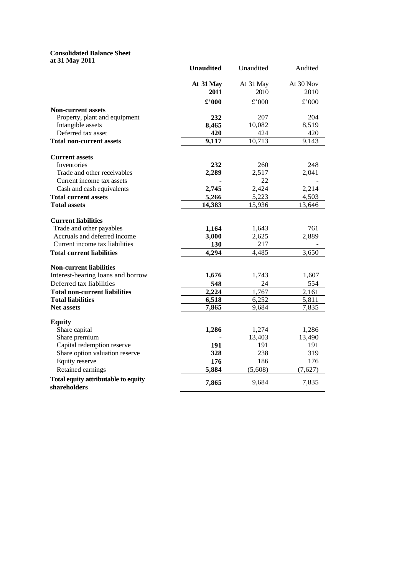#### **Consolidated Balance Sheet at 31 May 2011**

|                                                     | <b>Unaudited</b>     | Unaudited         | Audited           |
|-----------------------------------------------------|----------------------|-------------------|-------------------|
|                                                     | At 31 May<br>2011    | At 31 May<br>2010 | At 30 Nov<br>2010 |
|                                                     | $\pmb{\pounds}$ '000 | £'000             | £'000             |
| <b>Non-current assets</b>                           |                      |                   |                   |
| Property, plant and equipment                       | 232                  | 207               | 204               |
| Intangible assets                                   | 8,465                | 10,082            | 8,519             |
| Deferred tax asset                                  | 420                  | 424               | 420               |
| <b>Total non-current assets</b>                     | 9,117                | 10,713            | 9,143             |
| <b>Current assets</b>                               |                      |                   |                   |
| Inventories                                         | 232                  | 260               | 248               |
| Trade and other receivables                         | 2,289                | 2,517             | 2,041             |
| Current income tax assets                           |                      | 22                |                   |
| Cash and cash equivalents                           | 2,745                | 2,424             | 2,214             |
| <b>Total current assets</b>                         | 5,266                | 5,223             | 4,503             |
| <b>Total assets</b>                                 | 14,383               | 15,936            | 13,646            |
| <b>Current liabilities</b>                          |                      |                   |                   |
| Trade and other payables                            | 1,164                | 1,643             | 761               |
| Accruals and deferred income                        | 3,000                | 2,625             | 2,889             |
| Current income tax liabilities                      | 130                  | 217               |                   |
| <b>Total current liabilities</b>                    | 4,294                | 4,485             | 3,650             |
| <b>Non-current liabilities</b>                      |                      |                   |                   |
| Interest-bearing loans and borrow                   | 1,676                | 1,743             | 1,607             |
| Deferred tax liabilities                            | 548                  | 24                | 554               |
| <b>Total non-current liabilities</b>                | 2,224                | 1,767             | 2,161             |
| <b>Total liabilities</b>                            | 6,518                | 6,252             | 5,811             |
| <b>Net assets</b>                                   | 7,865                | 9,684             | 7,835             |
| <b>Equity</b>                                       |                      |                   |                   |
| Share capital                                       | 1,286                | 1,274             | 1,286             |
| Share premium                                       |                      | 13,403            | 13,490            |
| Capital redemption reserve                          | 191                  | 191               | 191               |
| Share option valuation reserve                      | 328                  | 238               | 319               |
| Equity reserve                                      | 176                  | 186               | 176               |
| Retained earnings                                   | 5,884                | (5,608)           | (7,627)           |
| Total equity attributable to equity<br>shareholders | 7,865                | 9,684             | 7,835             |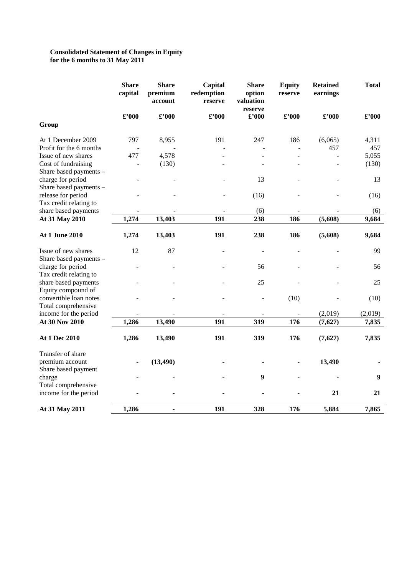#### **Consolidated Statement of Changes in Equity for the 6 months to 31 May 2011**

|                         | <b>Share</b><br>capital  | <b>Share</b><br>premium<br>account | Capital<br>redemption<br>reserve | <b>Share</b><br>option<br>valuation<br>reserve | <b>Equity</b><br>reserve | <b>Retained</b><br>earnings | <b>Total</b> |
|-------------------------|--------------------------|------------------------------------|----------------------------------|------------------------------------------------|--------------------------|-----------------------------|--------------|
|                         | $\pounds$ '000           | $\pmb{\pounds}$ '000               | $\pounds$ '000                   | $\pounds$ '000                                 | $\pounds$ '000           | $\pounds$ '000              | £'000        |
| Group                   |                          |                                    |                                  |                                                |                          |                             |              |
| At 1 December 2009      | 797                      | 8,955                              | 191                              | 247                                            | 186                      | (6,065)                     | 4,311        |
| Profit for the 6 months |                          |                                    |                                  |                                                |                          | 457                         | 457          |
| Issue of new shares     | 477                      | 4,578                              |                                  |                                                |                          |                             | 5,055        |
| Cost of fundraising     | $\overline{a}$           | (130)                              |                                  |                                                |                          |                             | (130)        |
| Share based payments -  |                          |                                    |                                  |                                                |                          |                             |              |
| charge for period       |                          |                                    |                                  | 13                                             |                          |                             | 13           |
| Share based payments -  |                          |                                    |                                  |                                                |                          |                             |              |
| release for period      |                          |                                    |                                  | (16)                                           |                          |                             | (16)         |
| Tax credit relating to  |                          |                                    |                                  |                                                |                          |                             |              |
| share based payments    |                          |                                    | 191                              | (6)                                            | 186                      |                             | (6)          |
| At 31 May 2010          | 1,274                    | 13,403                             |                                  | 238                                            |                          | (5,608)                     | 9,684        |
| At 1 June 2010          | 1,274                    | 13,403                             | 191                              | 238                                            | 186                      | (5,608)                     | 9,684        |
| Issue of new shares     | 12                       | 87                                 |                                  | $\overline{\phantom{a}}$                       |                          |                             | 99           |
| Share based payments -  |                          |                                    |                                  |                                                |                          |                             |              |
| charge for period       |                          |                                    |                                  | 56                                             |                          |                             | 56           |
| Tax credit relating to  |                          |                                    |                                  |                                                |                          |                             |              |
| share based payments    |                          |                                    |                                  | 25                                             |                          |                             | 25           |
| Equity compound of      |                          |                                    |                                  |                                                |                          |                             |              |
| convertible loan notes  |                          |                                    |                                  |                                                | (10)                     |                             | (10)         |
| Total comprehensive     |                          |                                    |                                  |                                                |                          |                             |              |
| income for the period   | $\overline{\phantom{a}}$ |                                    |                                  | $\overline{\phantom{a}}$                       | $\overline{\phantom{a}}$ | (2,019)                     | (2,019)      |
| At 30 Nov 2010          | 1,286                    | 13,490                             | 191                              | 319                                            | 176                      | (7,627)                     | 7,835        |
| At 1 Dec 2010           | 1,286                    | 13,490                             | 191                              | 319                                            | 176                      | (7,627)                     | 7,835        |
| Transfer of share       |                          |                                    |                                  |                                                |                          |                             |              |
| premium account         |                          | (13, 490)                          |                                  |                                                |                          | 13,490                      |              |
| Share based payment     |                          |                                    |                                  |                                                |                          |                             |              |
| charge                  |                          |                                    |                                  | 9                                              |                          |                             | 9            |
| Total comprehensive     |                          |                                    |                                  |                                                |                          |                             |              |
| income for the period   |                          |                                    |                                  |                                                |                          | 21                          | 21           |
| At 31 May 2011          | 1,286                    | $\blacksquare$                     | 191                              | 328                                            | 176                      | 5,884                       | 7,865        |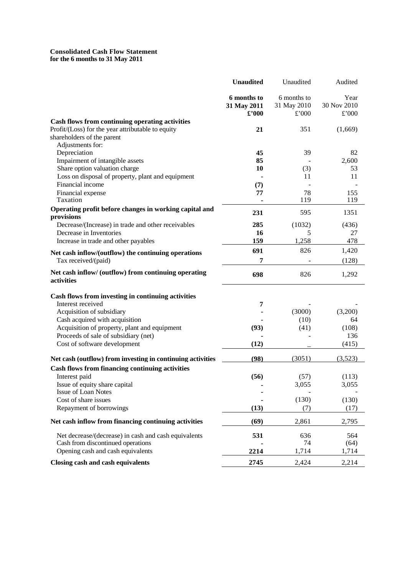#### **Consolidated Cash Flow Statement for the 6 months to 31 May 2011**

|                                                                    | <b>Unaudited</b> | Unaudited   | Audited     |
|--------------------------------------------------------------------|------------------|-------------|-------------|
|                                                                    | 6 months to      | 6 months to | Year        |
|                                                                    | 31 May 2011      | 31 May 2010 | 30 Nov 2010 |
|                                                                    | $\pounds$ '000   | £'000       | £'000       |
| Cash flows from continuing operating activities                    |                  |             |             |
| Profit/(Loss) for the year attributable to equity                  | 21               | 351         | (1,669)     |
| shareholders of the parent                                         |                  |             |             |
| Adjustments for:                                                   |                  |             |             |
| Depreciation                                                       | 45               | 39          | 82          |
| Impairment of intangible assets                                    | 85               |             | 2,600       |
| Share option valuation charge                                      | 10               | (3)         | 53          |
| Loss on disposal of property, plant and equipment                  |                  | 11          | 11          |
| Financial income                                                   | (7)              |             |             |
| Financial expense                                                  | 77               | 78          | 155         |
| Taxation                                                           |                  | 119         | 119         |
| Operating profit before changes in working capital and             | 231              | 595         | 1351        |
| provisions                                                         |                  |             |             |
| Decrease/(Increase) in trade and other receivables                 | 285              | (1032)      | (436)       |
| Decrease in Inventories                                            | 16               | 5           | 27          |
| Increase in trade and other payables                               | 159              | 1,258       | 478         |
| Net cash inflow/(outflow) the continuing operations                | 691              | 826         | 1,420       |
| Tax received/(paid)                                                | 7                |             | (128)       |
| Net cash inflow/ (outflow) from continuing operating<br>activities | 698              | 826         | 1,292       |
|                                                                    |                  |             |             |
| Cash flows from investing in continuing activities                 |                  |             |             |
| Interest received                                                  | 7                |             |             |
| Acquisition of subsidiary                                          |                  | (3000)      | (3,200)     |
| Cash acquired with acquisition                                     |                  | (10)        | 64          |
| Acquisition of property, plant and equipment                       | (93)             | (41)        | (108)       |
| Proceeds of sale of subsidiary (net)                               |                  |             | 136         |
| Cost of software development                                       | (12)             |             | (415)       |
| Net cash (outflow) from investing in continuing activities         | (98)             | (3051)      | (3,523)     |
| Cash flows from financing continuing activities                    |                  |             |             |
| Interest paid                                                      | (56)             | (57)        | (113)       |
| Issue of equity share capital                                      |                  | 3,055       | 3,055       |
| <b>Issue of Loan Notes</b>                                         |                  |             |             |
| Cost of share issues                                               |                  | (130)       | (130)       |
| Repayment of borrowings                                            | (13)             | (7)         | (17)        |
| Net cash inflow from financing continuing activities               | (69)             | 2,861       | 2,795       |
| Net decrease/(decrease) in cash and cash equivalents               | 531              | 636         | 564         |
| Cash from discontinued operations                                  |                  | 74          | (64)        |
| Opening cash and cash equivalents                                  | 2214             | 1,714       | 1,714       |
| <b>Closing cash and cash equivalents</b>                           | 2745             | 2,424       | 2,214       |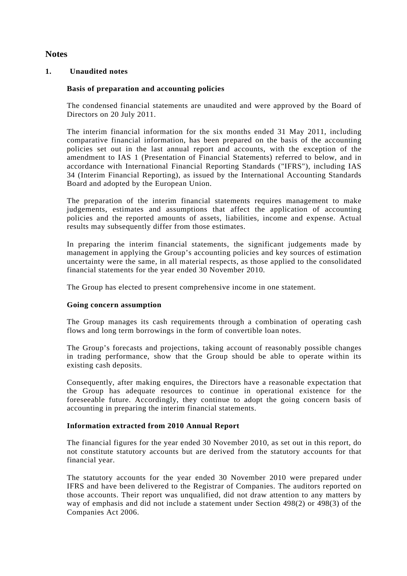# **Notes**

# **1. Unaudited notes**

# **Basis of preparation and accounting policies**

The condensed financial statements are unaudited and were approved by the Board of Directors on 20 July 2011.

The interim financial information for the six months ended 31 May 2011, including comparative financial information, has been prepared on the basis of the accounting policies set out in the last annual report and accounts, with the exception of the amendment to IAS 1 (Presentation of Financial Statements) referred to below, and in accordance with International Financial Reporting Standards ("IFRS"), including IAS 34 (Interim Financial Reporting), as issued by the International Accounting Standards Board and adopted by the European Union.

The preparation of the interim financial statements requires management to make judgements, estimates and assumptions that affect the application of accounting policies and the reported amounts of assets, liabilities, income and expense. Actual results may subsequently differ from those estimates.

In preparing the interim financial statements, the significant judgements made by management in applying the Group's accounting policies and key sources of estimation uncertainty were the same, in all material respects, as those applied to the consolidated financial statements for the year ended 30 November 2010.

The Group has elected to present comprehensive income in one statement.

### **Going concern assumption**

The Group manages its cash requirements through a combination of operating cash flows and long term borrowings in the form of convertible loan notes.

The Group's forecasts and projections, taking account of reasonably possible changes in trading performance, show that the Group should be able to operate within its existing cash deposits.

Consequently, after making enquires, the Directors have a reasonable expectation that the Group has adequate resources to continue in operational existence for the foreseeable future. Accordingly, they continue to adopt the going concern basis of accounting in preparing the interim financial statements.

### **Information extracted from 2010 Annual Report**

The financial figures for the year ended 30 November 2010, as set out in this report, do not constitute statutory accounts but are derived from the statutory accounts for that financial year.

The statutory accounts for the year ended 30 November 2010 were prepared under IFRS and have been delivered to the Registrar of Companies. The auditors reported on those accounts. Their report was unqualified, did not draw attention to any matters by way of emphasis and did not include a statement under Section 498(2) or 498(3) of the Companies Act 2006.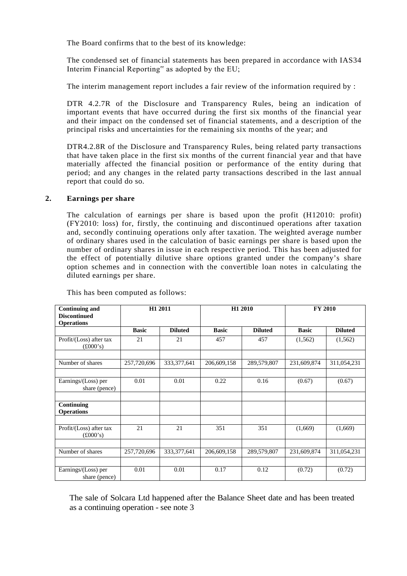The Board confirms that to the best of its knowledge:

The condensed set of financial statements has been prepared in accordance with IAS34 Interim Financial Reporting" as adopted by the EU;

The interim management report includes a fair review of the information required by :

DTR 4.2.7R of the Disclosure and Transparency Rules, being an indication of important events that have occurred during the first six months of the financial year and their impact on the condensed set of financial statements, and a description of the principal risks and uncertainties for the remaining six months of the year; and

DTR4.2.8R of the Disclosure and Transparency Rules, being related party transactions that have taken place in the first six months of the current financial year and that have materially affected the financial position or performance of the entity during that period; and any changes in the related party transactions described in the last annual report that could do so.

### **2. Earnings per share**

The calculation of earnings per share is based upon the profit (H12010: profit) (FY2010: loss) for, firstly, the continuing and discontinued operations after taxation and, secondly continuing operations only after taxation. The weighted average number of ordinary shares used in the calculation of basic earnings per share is based upon the number of ordinary shares in issue in each respective period. This has been adjusted for the effect of potentially dilutive share options granted under the company's share option schemes and in connection with the convertible loan notes in calculating the diluted earnings per share.

| <b>Continuing and</b><br><b>Discontinued</b>        |              | H1 2011        | H1 2010      |                | <b>FY 2010</b> |                |
|-----------------------------------------------------|--------------|----------------|--------------|----------------|----------------|----------------|
| <b>Operations</b>                                   |              |                |              |                |                |                |
|                                                     | <b>Basic</b> | <b>Diluted</b> | <b>Basic</b> | <b>Diluted</b> | <b>Basic</b>   | <b>Diluted</b> |
| Profit/(Loss) after tax<br>$(\pounds000 \text{'s})$ | 21           | 21             | 457          | 457            | (1, 562)       | (1,562)        |
|                                                     |              |                |              |                |                |                |
| Number of shares                                    | 257,720,696  | 333, 377, 641  | 206,609,158  | 289,579,807    | 231,609,874    | 311,054,231    |
|                                                     |              |                |              |                |                |                |
| Earnings/(Loss) per<br>share (pence)                | 0.01         | 0.01           | 0.22         | 0.16           | (0.67)         | (0.67)         |
|                                                     |              |                |              |                |                |                |
| Continuing<br><b>Operations</b>                     |              |                |              |                |                |                |
|                                                     |              |                |              |                |                |                |
| Profit/(Loss) after tax<br>$(\pounds000 \text{'s})$ | 21           | 21             | 351          | 351            | (1,669)        | (1,669)        |
|                                                     |              |                |              |                |                |                |
| Number of shares                                    | 257,720,696  | 333, 377, 641  | 206,609,158  | 289,579,807    | 231,609,874    | 311,054,231    |
|                                                     |              |                |              |                |                |                |
| Earnings/(Loss) per<br>share (pence)                | 0.01         | 0.01           | 0.17         | 0.12           | (0.72)         | (0.72)         |

This has been computed as follows:

The sale of Solcara Ltd happened after the Balance Sheet date and has been treated as a continuing operation - see note 3